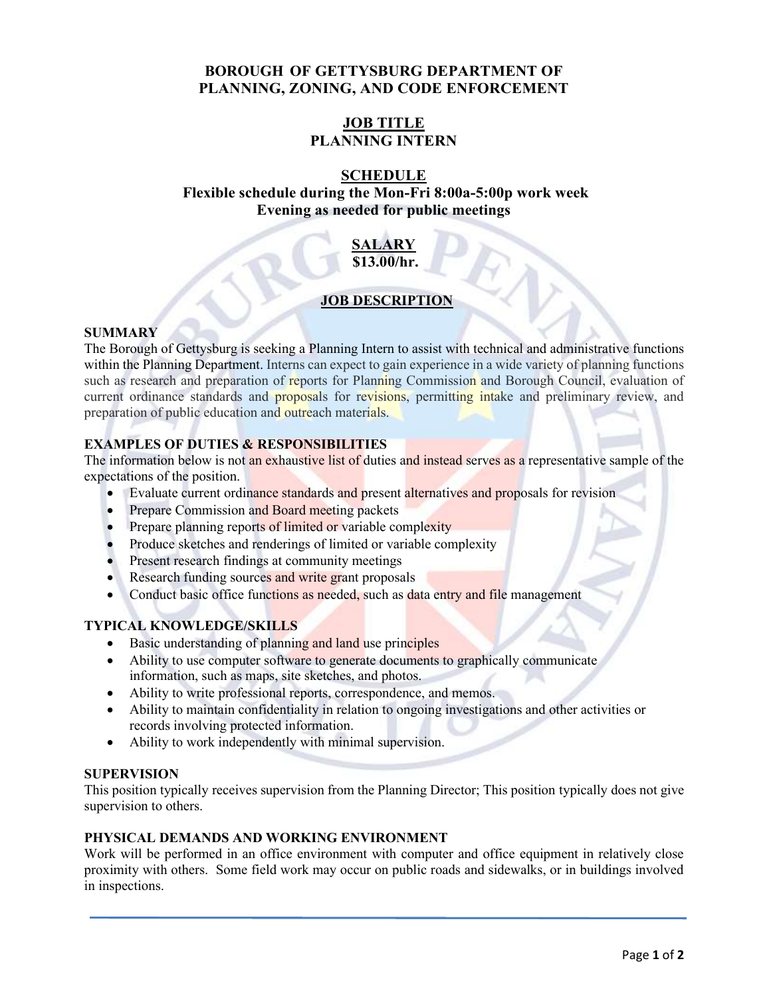## **BOROUGH OF GETTYSBURG DEPARTMENT OF PLANNING, ZONING, AND CODE ENFORCEMENT**

# **JOB TITLE PLANNING INTERN**

## **SCHEDULE**

# **Flexible schedule during the Mon-Fri 8:00a-5:00p work week Evening as needed for public meetings**

### **SALARY \$13.00/hr.**

### **JOB DESCRIPTION**

### **SUMMARY**

The Borough of Gettysburg is seeking a Planning Intern to assist with technical and administrative functions within the Planning Department. Interns can expect to gain experience in a wide variety of planning functions such as research and preparation of reports for Planning Commission and Borough Council, evaluation of current ordinance standards and proposals for revisions, permitting intake and preliminary review, and preparation of public education and outreach materials.

## **EXAMPLES OF DUTIES & RESPONSIBILITIES**

The information below is not an exhaustive list of duties and instead serves as a representative sample of the expectations of the position.

- Evaluate current ordinance standards and present alternatives and proposals for revision
- Prepare Commission and Board meeting packets
- Prepare planning reports of limited or variable complexity
- Produce sketches and renderings of limited or variable complexity
- Present research findings at community meetings
- Research funding sources and write grant proposals
- Conduct basic office functions as needed, such as data entry and file management

### **TYPICAL KNOWLEDGE/SKILLS**

- Basic understanding of planning and land use principles
- Ability to use computer software to generate documents to graphically communicate information, such as maps, site sketches, and photos.
- Ability to write professional reports, correspondence, and memos.
- Ability to maintain confidentiality in relation to ongoing investigations and other activities or records involving protected information.
- Ability to work independently with minimal supervision.

#### **SUPERVISION**

This position typically receives supervision from the Planning Director; This position typically does not give supervision to others.

#### **PHYSICAL DEMANDS AND WORKING ENVIRONMENT**

Work will be performed in an office environment with computer and office equipment in relatively close proximity with others. Some field work may occur on public roads and sidewalks, or in buildings involved in inspections.